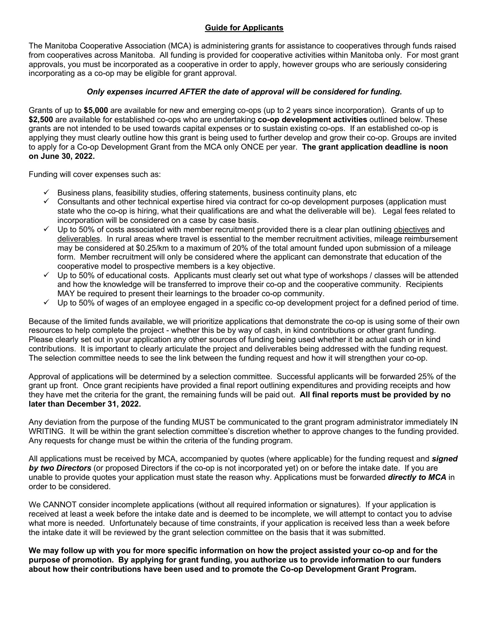# **Guide for Applicants**

The Manitoba Cooperative Association (MCA) is administering grants for assistance to cooperatives through funds raised from cooperatives across Manitoba. All funding is provided for cooperative activities within Manitoba only. For most grant approvals, you must be incorporated as a cooperative in order to apply, however groups who are seriously considering incorporating as a co-op may be eligible for grant approval.

# *Only expenses incurred AFTER the date of approval will be considered for funding.*

Grants of up to **\$5,000** are available for new and emerging co-ops (up to 2 years since incorporation). Grants of up to **\$2,500** are available for established co-ops who are undertaking **co-op development activities** outlined below. These grants are not intended to be used towards capital expenses or to sustain existing co-ops. If an established co-op is applying they must clearly outline how this grant is being used to further develop and grow their co-op. Groups are invited to apply for a Co-op Development Grant from the MCA only ONCE per year. **The grant application deadline is noon on June 30, 2022.**

Funding will cover expenses such as:

- $\checkmark$  Business plans, feasibility studies, offering statements, business continuity plans, etc
- $\checkmark$  Consultants and other technical expertise hired via contract for co-op development purposes (application must state who the co-op is hiring, what their qualifications are and what the deliverable will be). Legal fees related to incorporation will be considered on a case by case basis.
- $\checkmark$  Up to 50% of costs associated with member recruitment provided there is a clear plan outlining objectives and deliverables. In rural areas where travel is essential to the member recruitment activities, mileage reimbursement may be considered at \$0.25/km to a maximum of 20% of the total amount funded upon submission of a mileage form. Member recruitment will only be considered where the applicant can demonstrate that education of the cooperative model to prospective members is a key objective.
- $\checkmark$  Up to 50% of educational costs. Applicants must clearly set out what type of workshops / classes will be attended and how the knowledge will be transferred to improve their co-op and the cooperative community. Recipients MAY be required to present their learnings to the broader co-op community.
- $\checkmark$  Up to 50% of wages of an employee engaged in a specific co-op development project for a defined period of time.

Because of the limited funds available, we will prioritize applications that demonstrate the co-op is using some of their own resources to help complete the project - whether this be by way of cash, in kind contributions or other grant funding. Please clearly set out in your application any other sources of funding being used whether it be actual cash or in kind contributions. It is important to clearly articulate the project and deliverables being addressed with the funding request. The selection committee needs to see the link between the funding request and how it will strengthen your co-op.

Approval of applications will be determined by a selection committee. Successful applicants will be forwarded 25% of the grant up front. Once grant recipients have provided a final report outlining expenditures and providing receipts and how they have met the criteria for the grant, the remaining funds will be paid out. **All final reports must be provided by no later than December 31, 2022.**

Any deviation from the purpose of the funding MUST be communicated to the grant program administrator immediately IN WRITING. It will be within the grant selection committee's discretion whether to approve changes to the funding provided. Any requests for change must be within the criteria of the funding program.

All applications must be received by MCA, accompanied by quotes (where applicable) for the funding request and *signed by two Directors* (or proposed Directors if the co-op is not incorporated yet) on or before the intake date. If you are unable to provide quotes your application must state the reason why. Applications must be forwarded *directly to MCA* in order to be considered.

We CANNOT consider incomplete applications (without all required information or signatures). If your application is received at least a week before the intake date and is deemed to be incomplete, we will attempt to contact you to advise what more is needed. Unfortunately because of time constraints, if your application is received less than a week before the intake date it will be reviewed by the grant selection committee on the basis that it was submitted.

**We may follow up with you for more specific information on how the project assisted your co-op and for the purpose of promotion. By applying for grant funding, you authorize us to provide information to our funders about how their contributions have been used and to promote the Co-op Development Grant Program.**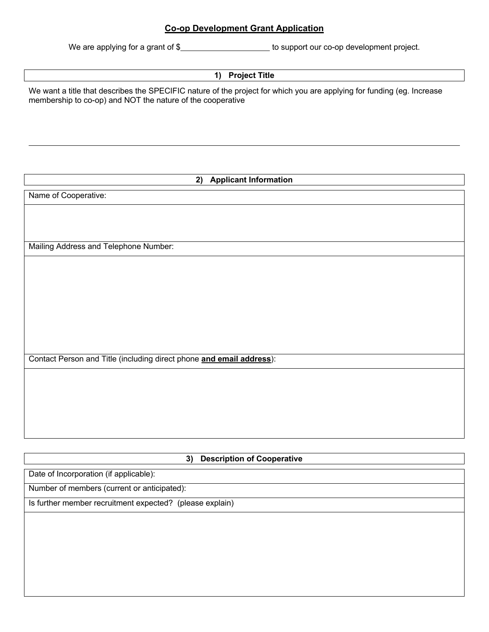# **Co-op Development Grant Application**

We are applying for a grant of \$

### **1) Project Title**

We want a title that describes the SPECIFIC nature of the project for which you are applying for funding (eg. Increase membership to co-op) and NOT the nature of the cooperative

|  |  | 2) Applicant Information |
|--|--|--------------------------|
|--|--|--------------------------|

Name of Cooperative:

Mailing Address and Telephone Number:

Contact Person and Title (including direct phone **and email address**):

# **3) Description of Cooperative**

Date of Incorporation (if applicable):

Number of members (current or anticipated):

Is further member recruitment expected? (please explain)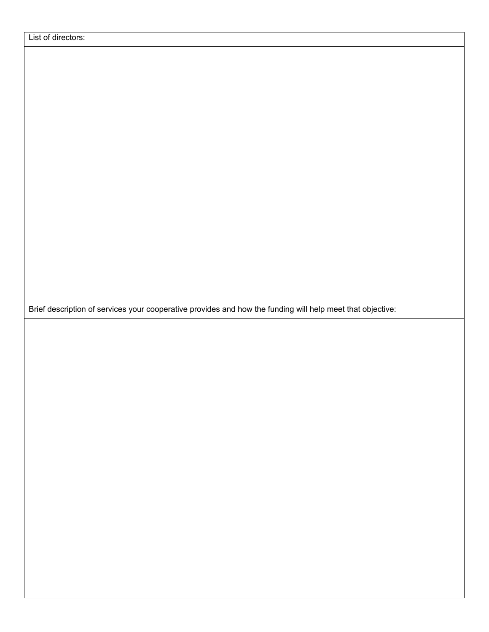Brief description of services your cooperative provides and how the funding will help meet that objective: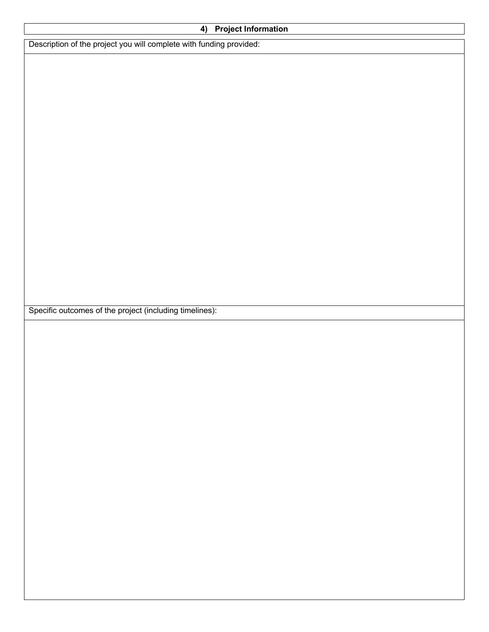| <b>Project Information</b><br>4)                                    |  |  |  |  |
|---------------------------------------------------------------------|--|--|--|--|
| Description of the project you will complete with funding provided: |  |  |  |  |
|                                                                     |  |  |  |  |
|                                                                     |  |  |  |  |
|                                                                     |  |  |  |  |
|                                                                     |  |  |  |  |
|                                                                     |  |  |  |  |
|                                                                     |  |  |  |  |
|                                                                     |  |  |  |  |
|                                                                     |  |  |  |  |
|                                                                     |  |  |  |  |
|                                                                     |  |  |  |  |
|                                                                     |  |  |  |  |
|                                                                     |  |  |  |  |
|                                                                     |  |  |  |  |
|                                                                     |  |  |  |  |
|                                                                     |  |  |  |  |
| Specific outcomes of the project (including timelines):             |  |  |  |  |
|                                                                     |  |  |  |  |
|                                                                     |  |  |  |  |
|                                                                     |  |  |  |  |
|                                                                     |  |  |  |  |
|                                                                     |  |  |  |  |
|                                                                     |  |  |  |  |
|                                                                     |  |  |  |  |
|                                                                     |  |  |  |  |
|                                                                     |  |  |  |  |
|                                                                     |  |  |  |  |
|                                                                     |  |  |  |  |
|                                                                     |  |  |  |  |
|                                                                     |  |  |  |  |
|                                                                     |  |  |  |  |
|                                                                     |  |  |  |  |
|                                                                     |  |  |  |  |
|                                                                     |  |  |  |  |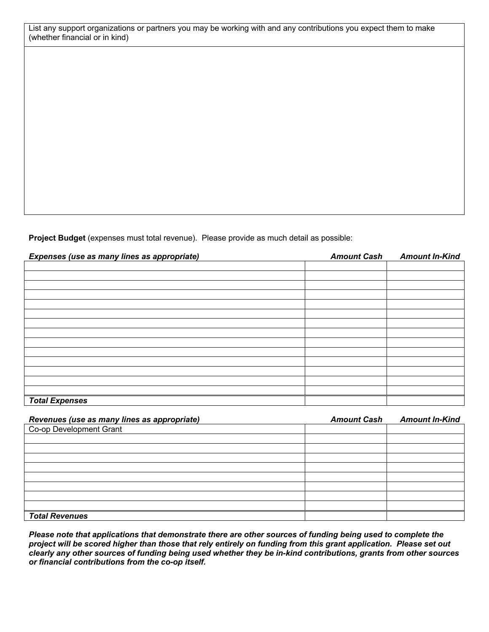List any support organizations or partners you may be working with and any contributions you expect them to make (whether financial or in kind)

**Project Budget** (expenses must total revenue). Please provide as much detail as possible:

| Expenses (use as many lines as appropriate) | <b>Amount Cash</b> | <b>Amount In-Kind</b> |
|---------------------------------------------|--------------------|-----------------------|
|                                             |                    |                       |
|                                             |                    |                       |
|                                             |                    |                       |
|                                             |                    |                       |
|                                             |                    |                       |
|                                             |                    |                       |
|                                             |                    |                       |
|                                             |                    |                       |
|                                             |                    |                       |
|                                             |                    |                       |
|                                             |                    |                       |
|                                             |                    |                       |
|                                             |                    |                       |
|                                             |                    |                       |
| <b>Total Expenses</b>                       |                    |                       |

| Revenues (use as many lines as appropriate) | <b>Amount Cash</b> | <b>Amount In-Kind</b> |
|---------------------------------------------|--------------------|-----------------------|
| Co-op Development Grant                     |                    |                       |
|                                             |                    |                       |
|                                             |                    |                       |
|                                             |                    |                       |
|                                             |                    |                       |
|                                             |                    |                       |
|                                             |                    |                       |
|                                             |                    |                       |
|                                             |                    |                       |
| <b>Total Revenues</b>                       |                    |                       |

*Please note that applications that demonstrate there are other sources of funding being used to complete the project will be scored higher than those that rely entirely on funding from this grant application. Please set out clearly any other sources of funding being used whether they be in-kind contributions, grants from other sources or financial contributions from the co-op itself.*